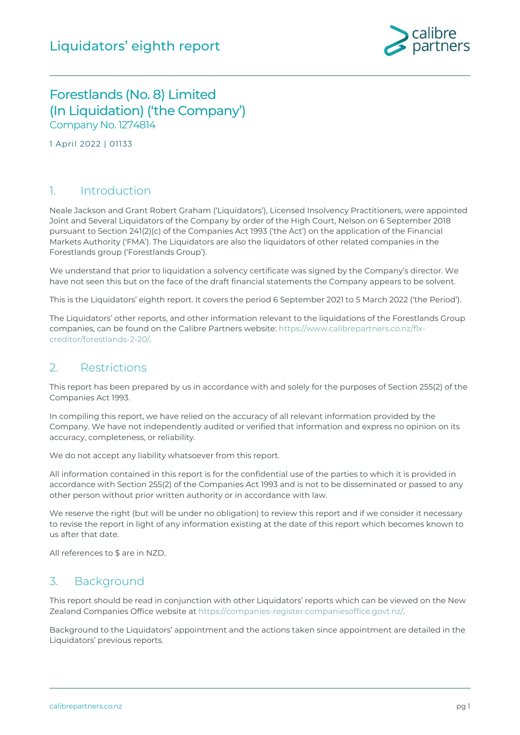

## Forestlands (No. 8) Limited (In Liquidation) ('the Company') Company No.1274814

1 April 2022 | 01133

#### 1. Introduction

Neale Jackson and Grant Robert Graham ('Liquidators'), Licensed Insolvency Practitioners, were appointed Joint and Several Liquidators of the Company by order of the High Court, Nelson on 6 September 2018 pursuant to Section 241(2)(c) of the Companies Act 1993 ('the Act') on the application of the Financial Markets Authority ('FMA'). The Liquidators are also the liquidators of other related companies in the Forestlands group ('Forestlands Group').

We understand that prior to liquidation a solvency certificate was signed by the Company's director. We have not seen this but on the face of the draft financial statements the Company appears to be solvent.

This is the Liquidators' eighth report. It covers the period 6 September 2021 to 5 March 2022 ('the Period').

The Liquidators' other reports, and other information relevant to the liquidations of the Forestlands Group companies, can be found on the Calibre Partners website: [https://www.calibrepartners.co.nz/flx](https://www.calibrepartners.co.nz/flx-creditor/forestlands-2-20/)[creditor/forestlands-2-20/.](https://www.calibrepartners.co.nz/flx-creditor/forestlands-2-20/)

#### 2. Restrictions

This report has been prepared by us in accordance with and solely for the purposes of Section 255(2) of the Companies Act 1993.

In compiling this report, we have relied on the accuracy of all relevant information provided by the Company. We have not independently audited or verified that information and express no opinion on its accuracy, completeness, or reliability.

We do not accept any liability whatsoever from this report.

All information contained in this report is for the confidential use of the parties to which it is provided in accordance with Section 255(2) of the Companies Act 1993 and is not to be disseminated or passed to any other person without prior written authority or in accordance with law.

We reserve the right (but will be under no obligation) to review this report and if we consider it necessary to revise the report in light of any information existing at the date of this report which becomes known to us after that date.

All references to \$ are in NZD.

#### 3. Background

This report should be read in conjunction with other Liquidators' reports which can be viewed on the New Zealand Companies Office website at [https://companies-register.companiesoffice.govt.nz/.](https://companies-register.companiesoffice.govt.nz/)

Background to the Liquidators' appointment and the actions taken since appointment are detailed in the Liquidators' previous reports.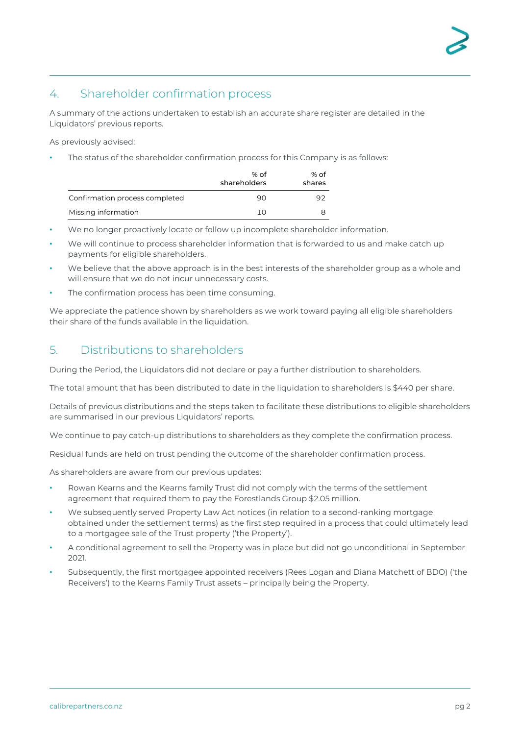## 4. Shareholder confirmation process

A summary of the actions undertaken to establish an accurate share register are detailed in the Liquidators' previous reports.

As previously advised:

The status of the shareholder confirmation process for this Company is as follows:

|                                | % of<br>shareholders | % of<br>shares |
|--------------------------------|----------------------|----------------|
| Confirmation process completed | 90                   | 92             |
| Missing information            | ח ו                  | Я              |

- We no longer proactively locate or follow up incomplete shareholder information.
- We will continue to process shareholder information that is forwarded to us and make catch up payments for eligible shareholders.
- We believe that the above approach is in the best interests of the shareholder group as a whole and will ensure that we do not incur unnecessary costs.
- The confirmation process has been time consuming.

We appreciate the patience shown by shareholders as we work toward paying all eligible shareholders their share of the funds available in the liquidation.

#### 5. Distributions to shareholders

During the Period, the Liquidators did not declare or pay a further distribution to shareholders.

The total amount that has been distributed to date in the liquidation to shareholders is \$440 per share.

Details of previous distributions and the steps taken to facilitate these distributions to eligible shareholders are summarised in our previous Liquidators' reports.

We continue to pay catch-up distributions to shareholders as they complete the confirmation process.

Residual funds are held on trust pending the outcome of the shareholder confirmation process.

As shareholders are aware from our previous updates:

- Rowan Kearns and the Kearns family Trust did not comply with the terms of the settlement agreement that required them to pay the Forestlands Group \$2.05 million.
- We subsequently served Property Law Act notices (in relation to a second-ranking mortgage obtained under the settlement terms) as the first step required in a process that could ultimately lead to a mortgagee sale of the Trust property ('the Property').
- A conditional agreement to sell the Property was in place but did not go unconditional in September 2021.
- Subsequently, the first mortgagee appointed receivers (Rees Logan and Diana Matchett of BDO) ('the Receivers') to the Kearns Family Trust assets – principally being the Property.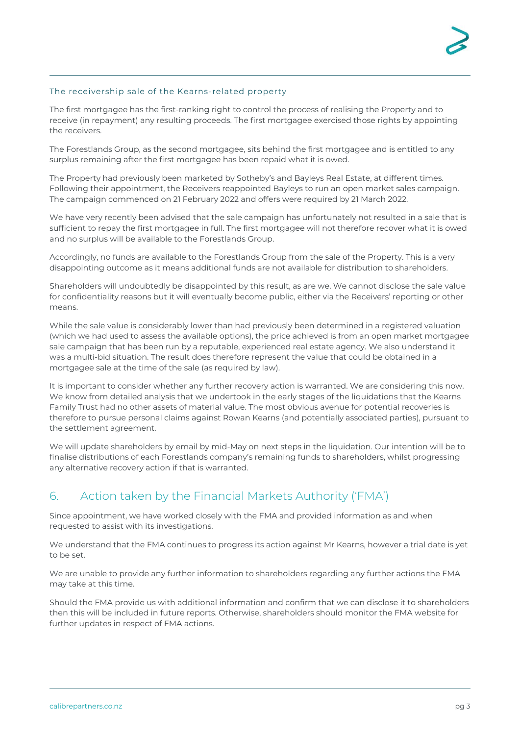#### The receivership sale of the Kearns-related property

The first mortgagee has the first-ranking right to control the process of realising the Property and to receive (in repayment) any resulting proceeds. The first mortgagee exercised those rights by appointing the receivers.

The Forestlands Group, as the second mortgagee, sits behind the first mortgagee and is entitled to any surplus remaining after the first mortgagee has been repaid what it is owed.

The Property had previously been marketed by Sotheby's and Bayleys Real Estate, at different times. Following their appointment, the Receivers reappointed Bayleys to run an open market sales campaign. The campaign commenced on 21 February 2022 and offers were required by 21 March 2022.

We have very recently been advised that the sale campaign has unfortunately not resulted in a sale that is sufficient to repay the first mortgagee in full. The first mortgagee will not therefore recover what it is owed and no surplus will be available to the Forestlands Group.

Accordingly, no funds are available to the Forestlands Group from the sale of the Property. This is a very disappointing outcome as it means additional funds are not available for distribution to shareholders.

Shareholders will undoubtedly be disappointed by this result, as are we. We cannot disclose the sale value for confidentiality reasons but it will eventually become public, either via the Receivers' reporting or other means.

While the sale value is considerably lower than had previously been determined in a registered valuation (which we had used to assess the available options), the price achieved is from an open market mortgagee sale campaign that has been run by a reputable, experienced real estate agency. We also understand it was a multi-bid situation. The result does therefore represent the value that could be obtained in a mortgagee sale at the time of the sale (as required by law).

It is important to consider whether any further recovery action is warranted. We are considering this now. We know from detailed analysis that we undertook in the early stages of the liquidations that the Kearns Family Trust had no other assets of material value. The most obvious avenue for potential recoveries is therefore to pursue personal claims against Rowan Kearns (and potentially associated parties), pursuant to the settlement agreement.

We will update shareholders by email by mid-May on next steps in the liquidation. Our intention will be to finalise distributions of each Forestlands company's remaining funds to shareholders, whilst progressing any alternative recovery action if that is warranted.

## 6. Action taken by the Financial Markets Authority ('FMA')

Since appointment, we have worked closely with the FMA and provided information as and when requested to assist with its investigations.

We understand that the FMA continues to progress its action against Mr Kearns, however a trial date is yet to be set.

We are unable to provide any further information to shareholders regarding any further actions the FMA may take at this time.

Should the FMA provide us with additional information and confirm that we can disclose it to shareholders then this will be included in future reports. Otherwise, shareholders should monitor the FMA website for further updates in respect of FMA actions.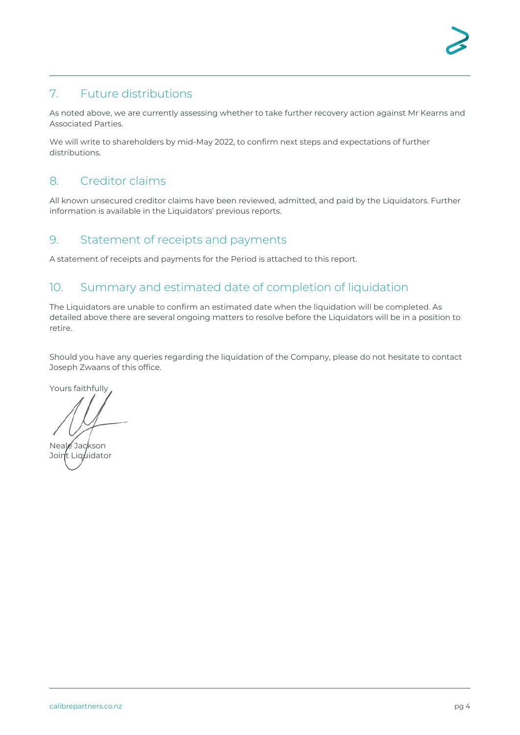## 7. Future distributions

As noted above, we are currently assessing whether to take further recovery action against Mr Kearns and Associated Parties.

We will write to shareholders by mid-May 2022, to confirm next steps and expectations of further distributions.

#### 8. Creditor claims

All known unsecured creditor claims have been reviewed, admitted, and paid by the Liquidators. Further information is available in the Liquidators' previous reports.

#### 9. Statement of receipts and payments

A statement of receipts and payments for the Period is attached to this report.

## 10. Summary and estimated date of completion of liquidation

The Liquidators are unable to confirm an estimated date when the liquidation will be completed. As detailed above there are several ongoing matters to resolve before the Liquidators will be in a position to retire.

Should you have any queries regarding the liquidation of the Company, please do not hesitate to contact Joseph Zwaans of this office.

Yours faithfully

Neale Jackson Joint Liguidator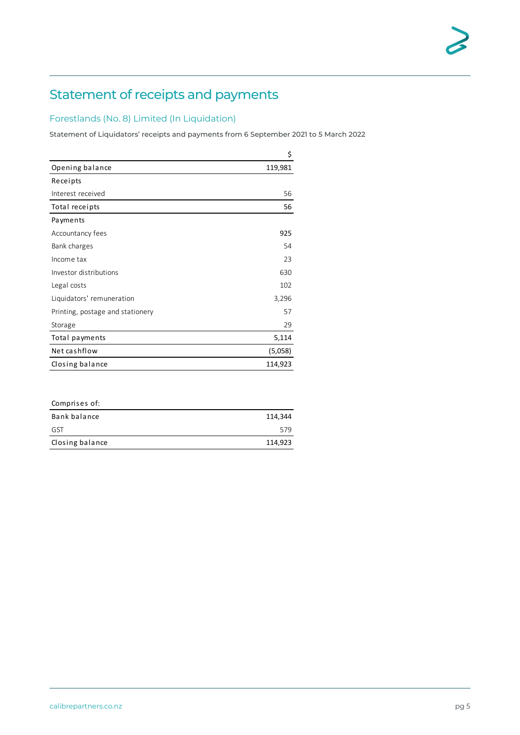# Statement of receipts and payments

#### Forestlands (No. 8) Limited (In Liquidation)

Statement of Liquidators' receipts and payments from 6 September 2021 to 5 March 2022

|                                  | \$      |
|----------------------------------|---------|
| Opening balance                  | 119,981 |
| Receipts                         |         |
| Interest received                | 56      |
| Total receipts                   | 56      |
| Payments                         |         |
| Accountancy fees                 | 925     |
| Bank charges                     | 54      |
| Income tax                       | 23      |
| Investor distributions           | 630     |
| Legal costs                      | 102     |
| Liquidators' remuneration        | 3,296   |
| Printing, postage and stationery | 57      |
| Storage                          | 29      |
| Total payments                   | 5,114   |
| Net cashflow                     | (5,058) |
| Closing balance                  | 114,923 |

| Comprises of:   |         |
|-----------------|---------|
| Bank balance    | 114,344 |
| GST             | 579     |
| Closing balance | 114,923 |